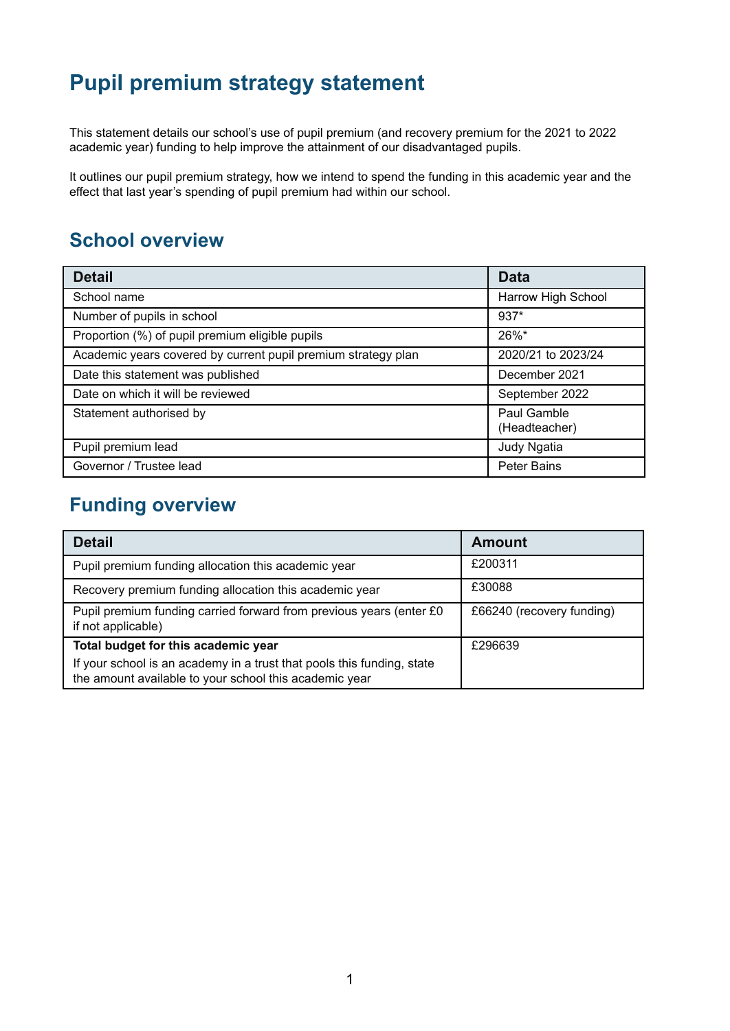## **Pupil premium strategy statement**

This statement details our school's use of pupil premium (and recovery premium for the 2021 to 2022 academic year) funding to help improve the attainment of our disadvantaged pupils.

It outlines our pupil premium strategy, how we intend to spend the funding in this academic year and the effect that last year's spending of pupil premium had within our school.

## **School overview**

| <b>Detail</b>                                                 | <b>Data</b>                  |
|---------------------------------------------------------------|------------------------------|
| School name                                                   | Harrow High School           |
| Number of pupils in school                                    | $937*$                       |
| Proportion (%) of pupil premium eligible pupils               | 26%*                         |
| Academic years covered by current pupil premium strategy plan | 2020/21 to 2023/24           |
| Date this statement was published                             | December 2021                |
| Date on which it will be reviewed                             | September 2022               |
| Statement authorised by                                       | Paul Gamble<br>(Headteacher) |
| Pupil premium lead                                            | Judy Ngatia                  |
| Governor / Trustee lead                                       | <b>Peter Bains</b>           |

## **Funding overview**

| <b>Detail</b>                                                                                                                    | <b>Amount</b>             |
|----------------------------------------------------------------------------------------------------------------------------------|---------------------------|
| Pupil premium funding allocation this academic year                                                                              | £200311                   |
| Recovery premium funding allocation this academic year                                                                           | £30088                    |
| Pupil premium funding carried forward from previous years (enter £0<br>if not applicable)                                        | £66240 (recovery funding) |
| Total budget for this academic year                                                                                              | £296639                   |
| If your school is an academy in a trust that pools this funding, state<br>the amount available to your school this academic year |                           |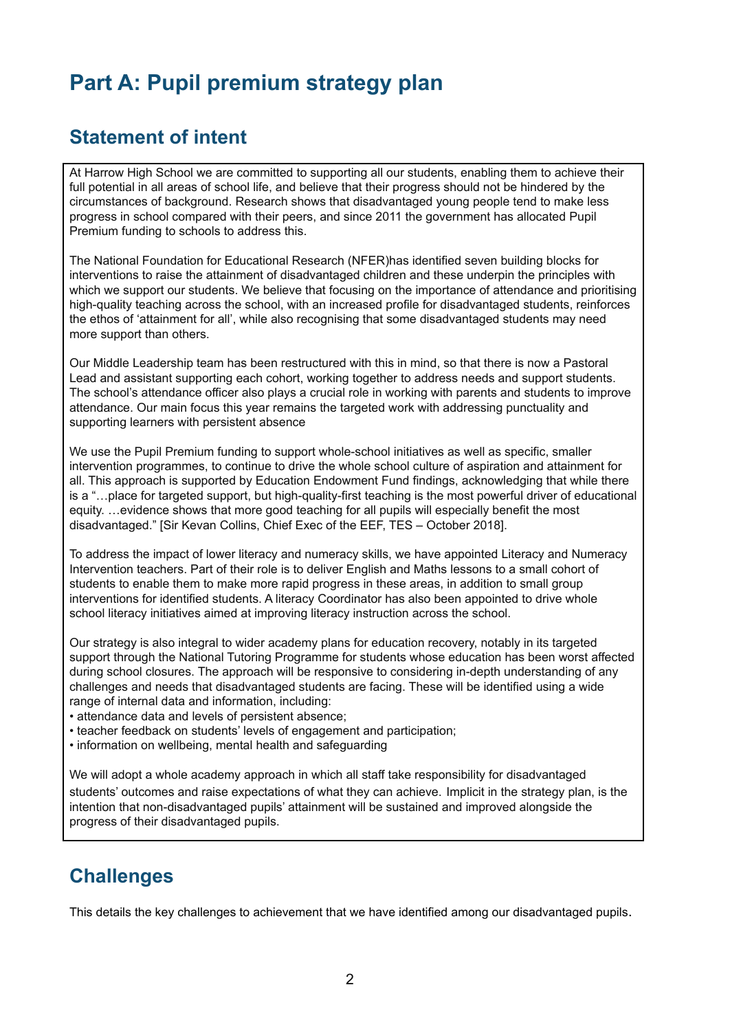## **Part A: Pupil premium strategy plan**

### **Statement of intent**

At Harrow High School we are committed to supporting all our students, enabling them to achieve their full potential in all areas of school life, and believe that their progress should not be hindered by the circumstances of background. Research shows that disadvantaged young people tend to make less progress in school compared with their peers, and since 2011 the government has allocated Pupil Premium funding to schools to address this.

The National Foundation for Educational Research (NFER)has identified seven building blocks for interventions to raise the attainment of disadvantaged children and these underpin the principles with which we support our students. We believe that focusing on the importance of attendance and prioritising high-quality teaching across the school, with an increased profile for disadvantaged students, reinforces the ethos of 'attainment for all', while also recognising that some disadvantaged students may need more support than others.

Our Middle Leadership team has been restructured with this in mind, so that there is now a Pastoral Lead and assistant supporting each cohort, working together to address needs and support students. The school's attendance officer also plays a crucial role in working with parents and students to improve attendance. Our main focus this year remains the targeted work with addressing punctuality and supporting learners with persistent absence

We use the Pupil Premium funding to support whole-school initiatives as well as specific, smaller intervention programmes, to continue to drive the whole school culture of aspiration and attainment for all. This approach is supported by Education Endowment Fund findings, acknowledging that while there is a "…place for targeted support, but high-quality-first teaching is the most powerful driver of educational equity. …evidence shows that more good teaching for all pupils will especially benefit the most disadvantaged." [Sir Kevan Collins, Chief Exec of the EEF, TES – October 2018].

To address the impact of lower literacy and numeracy skills, we have appointed Literacy and Numeracy Intervention teachers. Part of their role is to deliver English and Maths lessons to a small cohort of students to enable them to make more rapid progress in these areas, in addition to small group interventions for identified students. A literacy Coordinator has also been appointed to drive whole school literacy initiatives aimed at improving literacy instruction across the school.

Our strategy is also integral to wider academy plans for education recovery, notably in its targeted support through the National Tutoring Programme for students whose education has been worst affected during school closures. The approach will be responsive to considering in-depth understanding of any challenges and needs that disadvantaged students are facing. These will be identified using a wide range of internal data and information, including:

- attendance data and levels of persistent absence;
- teacher feedback on students' levels of engagement and participation;
- information on wellbeing, mental health and safeguarding

We will adopt a whole academy approach in which all staff take responsibility for disadvantaged students' outcomes and raise expectations of what they can achieve. Implicit in the strategy plan, is the intention that non-disadvantaged pupils' attainment will be sustained and improved alongside the progress of their disadvantaged pupils.

## **Challenges**

This details the key challenges to achievement that we have identified among our disadvantaged pupils.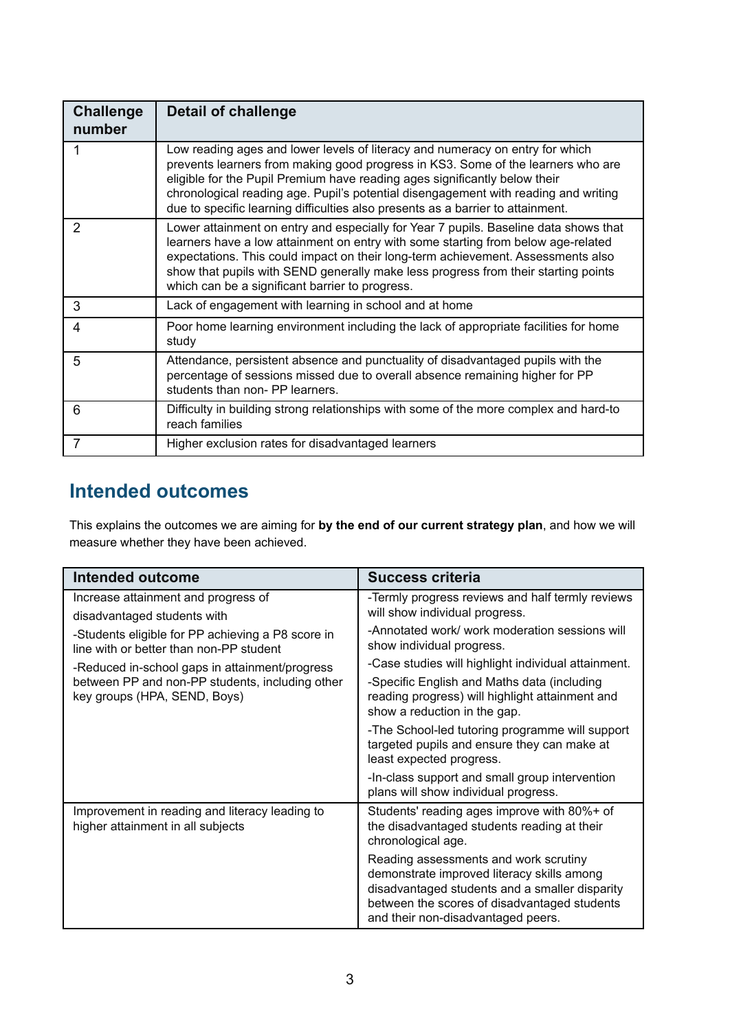| <b>Challenge</b><br>number | <b>Detail of challenge</b>                                                                                                                                                                                                                                                                                                                                                                                                |
|----------------------------|---------------------------------------------------------------------------------------------------------------------------------------------------------------------------------------------------------------------------------------------------------------------------------------------------------------------------------------------------------------------------------------------------------------------------|
|                            | Low reading ages and lower levels of literacy and numeracy on entry for which<br>prevents learners from making good progress in KS3. Some of the learners who are<br>eligible for the Pupil Premium have reading ages significantly below their<br>chronological reading age. Pupil's potential disengagement with reading and writing<br>due to specific learning difficulties also presents as a barrier to attainment. |
| $\mathcal{P}$              | Lower attainment on entry and especially for Year 7 pupils. Baseline data shows that<br>learners have a low attainment on entry with some starting from below age-related<br>expectations. This could impact on their long-term achievement. Assessments also<br>show that pupils with SEND generally make less progress from their starting points<br>which can be a significant barrier to progress.                    |
| 3                          | Lack of engagement with learning in school and at home                                                                                                                                                                                                                                                                                                                                                                    |
| 4                          | Poor home learning environment including the lack of appropriate facilities for home<br>study                                                                                                                                                                                                                                                                                                                             |
| 5                          | Attendance, persistent absence and punctuality of disadvantaged pupils with the<br>percentage of sessions missed due to overall absence remaining higher for PP<br>students than non- PP learners.                                                                                                                                                                                                                        |
| 6                          | Difficulty in building strong relationships with some of the more complex and hard-to<br>reach families                                                                                                                                                                                                                                                                                                                   |
| $\overline{7}$             | Higher exclusion rates for disadvantaged learners                                                                                                                                                                                                                                                                                                                                                                         |

## **Intended outcomes**

This explains the outcomes we are aiming for **by the end of our current strategy plan**, and how we will measure whether they have been achieved.

| <b>Intended outcome</b>                                                                      | <b>Success criteria</b>                                                                                                                                                                                                     |
|----------------------------------------------------------------------------------------------|-----------------------------------------------------------------------------------------------------------------------------------------------------------------------------------------------------------------------------|
| Increase attainment and progress of<br>disadvantaged students with                           | -Termly progress reviews and half termly reviews<br>will show individual progress.                                                                                                                                          |
| -Students eligible for PP achieving a P8 score in<br>line with or better than non-PP student | -Annotated work/ work moderation sessions will<br>show individual progress.                                                                                                                                                 |
| -Reduced in-school gaps in attainment/progress                                               | -Case studies will highlight individual attainment.                                                                                                                                                                         |
| between PP and non-PP students, including other<br>key groups (HPA, SEND, Boys)              | -Specific English and Maths data (including<br>reading progress) will highlight attainment and<br>show a reduction in the gap.                                                                                              |
|                                                                                              | -The School-led tutoring programme will support<br>targeted pupils and ensure they can make at<br>least expected progress.                                                                                                  |
|                                                                                              | -In-class support and small group intervention<br>plans will show individual progress.                                                                                                                                      |
| Improvement in reading and literacy leading to<br>higher attainment in all subjects          | Students' reading ages improve with 80%+ of<br>the disadvantaged students reading at their<br>chronological age.                                                                                                            |
|                                                                                              | Reading assessments and work scrutiny<br>demonstrate improved literacy skills among<br>disadvantaged students and a smaller disparity<br>between the scores of disadvantaged students<br>and their non-disadvantaged peers. |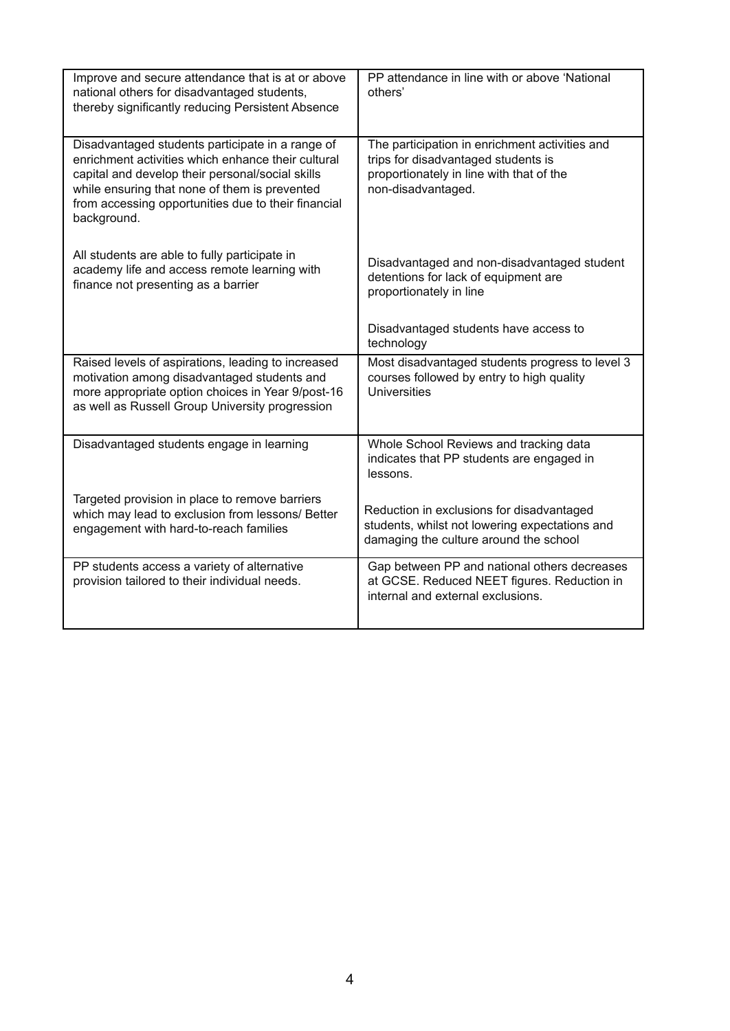| Improve and secure attendance that is at or above<br>national others for disadvantaged students,<br>thereby significantly reducing Persistent Absence                                                                                                                             | PP attendance in line with or above 'National<br>others'                                                                                                |
|-----------------------------------------------------------------------------------------------------------------------------------------------------------------------------------------------------------------------------------------------------------------------------------|---------------------------------------------------------------------------------------------------------------------------------------------------------|
| Disadvantaged students participate in a range of<br>enrichment activities which enhance their cultural<br>capital and develop their personal/social skills<br>while ensuring that none of them is prevented<br>from accessing opportunities due to their financial<br>background. | The participation in enrichment activities and<br>trips for disadvantaged students is<br>proportionately in line with that of the<br>non-disadvantaged. |
| All students are able to fully participate in<br>academy life and access remote learning with<br>finance not presenting as a barrier                                                                                                                                              | Disadvantaged and non-disadvantaged student<br>detentions for lack of equipment are<br>proportionately in line                                          |
|                                                                                                                                                                                                                                                                                   | Disadvantaged students have access to<br>technology                                                                                                     |
| Raised levels of aspirations, leading to increased<br>motivation among disadvantaged students and<br>more appropriate option choices in Year 9/post-16<br>as well as Russell Group University progression                                                                         | Most disadvantaged students progress to level 3<br>courses followed by entry to high quality<br><b>Universities</b>                                     |
| Disadvantaged students engage in learning                                                                                                                                                                                                                                         | Whole School Reviews and tracking data<br>indicates that PP students are engaged in<br>lessons.                                                         |
| Targeted provision in place to remove barriers<br>which may lead to exclusion from lessons/ Better<br>engagement with hard-to-reach families                                                                                                                                      | Reduction in exclusions for disadvantaged<br>students, whilst not lowering expectations and<br>damaging the culture around the school                   |
| PP students access a variety of alternative<br>provision tailored to their individual needs.                                                                                                                                                                                      | Gap between PP and national others decreases<br>at GCSE. Reduced NEET figures. Reduction in<br>internal and external exclusions.                        |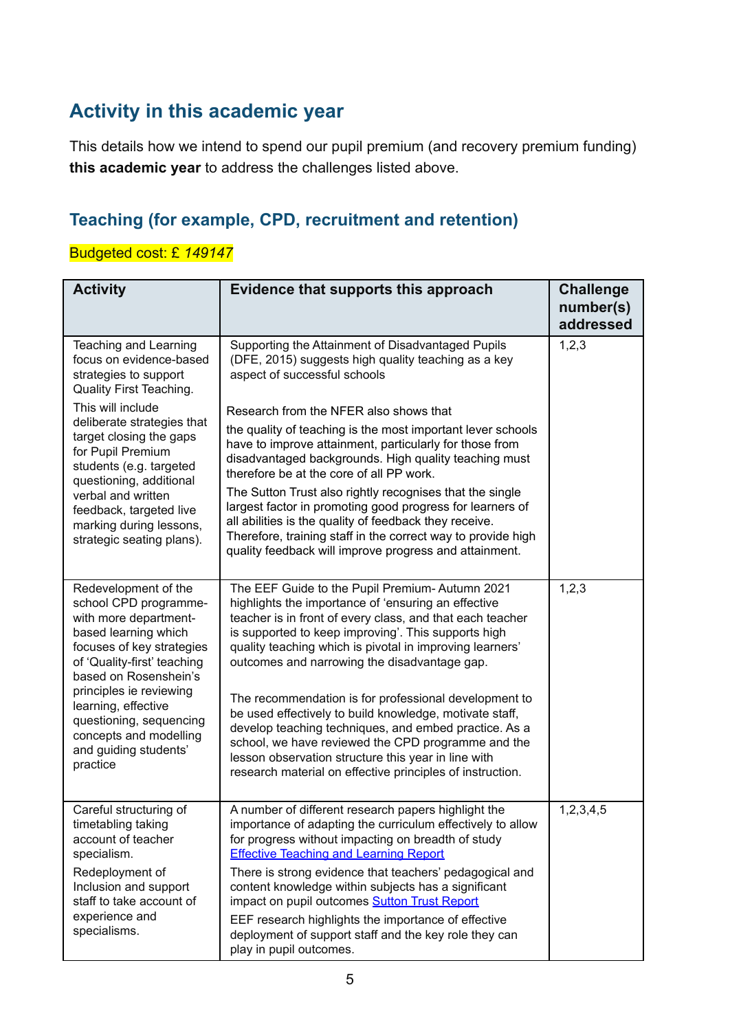## **Activity in this academic year**

This details how we intend to spend our pupil premium (and recovery premium funding) **this academic year** to address the challenges listed above.

## **Teaching (for example, CPD, recruitment and retention)**

### Budgeted cost: £ *149147*

| <b>Activity</b>                                                                                                                                                                     | Evidence that supports this approach                                                                                                                                                                                                                                                                                                                | <b>Challenge</b><br>number(s)<br>addressed |
|-------------------------------------------------------------------------------------------------------------------------------------------------------------------------------------|-----------------------------------------------------------------------------------------------------------------------------------------------------------------------------------------------------------------------------------------------------------------------------------------------------------------------------------------------------|--------------------------------------------|
| Teaching and Learning<br>focus on evidence-based<br>strategies to support<br>Quality First Teaching.                                                                                | Supporting the Attainment of Disadvantaged Pupils<br>(DFE, 2015) suggests high quality teaching as a key<br>aspect of successful schools                                                                                                                                                                                                            | 1,2,3                                      |
| This will include<br>deliberate strategies that<br>target closing the gaps<br>for Pupil Premium<br>students (e.g. targeted<br>questioning, additional                               | Research from the NFER also shows that<br>the quality of teaching is the most important lever schools<br>have to improve attainment, particularly for those from<br>disadvantaged backgrounds. High quality teaching must<br>therefore be at the core of all PP work.                                                                               |                                            |
| verbal and written<br>feedback, targeted live<br>marking during lessons,<br>strategic seating plans).                                                                               | The Sutton Trust also rightly recognises that the single<br>largest factor in promoting good progress for learners of<br>all abilities is the quality of feedback they receive.<br>Therefore, training staff in the correct way to provide high<br>quality feedback will improve progress and attainment.                                           |                                            |
| Redevelopment of the<br>school CPD programme-<br>with more department-<br>based learning which<br>focuses of key strategies<br>of 'Quality-first' teaching<br>based on Rosenshein's | The EEF Guide to the Pupil Premium- Autumn 2021<br>highlights the importance of 'ensuring an effective<br>teacher is in front of every class, and that each teacher<br>is supported to keep improving'. This supports high<br>quality teaching which is pivotal in improving learners'<br>outcomes and narrowing the disadvantage gap.              | 1, 2, 3                                    |
| principles ie reviewing<br>learning, effective<br>questioning, sequencing<br>concepts and modelling<br>and guiding students'<br>practice                                            | The recommendation is for professional development to<br>be used effectively to build knowledge, motivate staff,<br>develop teaching techniques, and embed practice. As a<br>school, we have reviewed the CPD programme and the<br>lesson observation structure this year in line with<br>research material on effective principles of instruction. |                                            |
| Careful structuring of<br>timetabling taking<br>account of teacher<br>specialism.                                                                                                   | A number of different research papers highlight the<br>importance of adapting the curriculum effectively to allow<br>for progress without impacting on breadth of study<br><b>Effective Teaching and Learning Report</b>                                                                                                                            | 1,2,3,4,5                                  |
| Redeployment of<br>Inclusion and support<br>staff to take account of<br>experience and<br>specialisms.                                                                              | There is strong evidence that teachers' pedagogical and<br>content knowledge within subjects has a significant<br>impact on pupil outcomes Sutton Trust Report<br>EEF research highlights the importance of effective<br>deployment of support staff and the key role they can<br>play in pupil outcomes.                                           |                                            |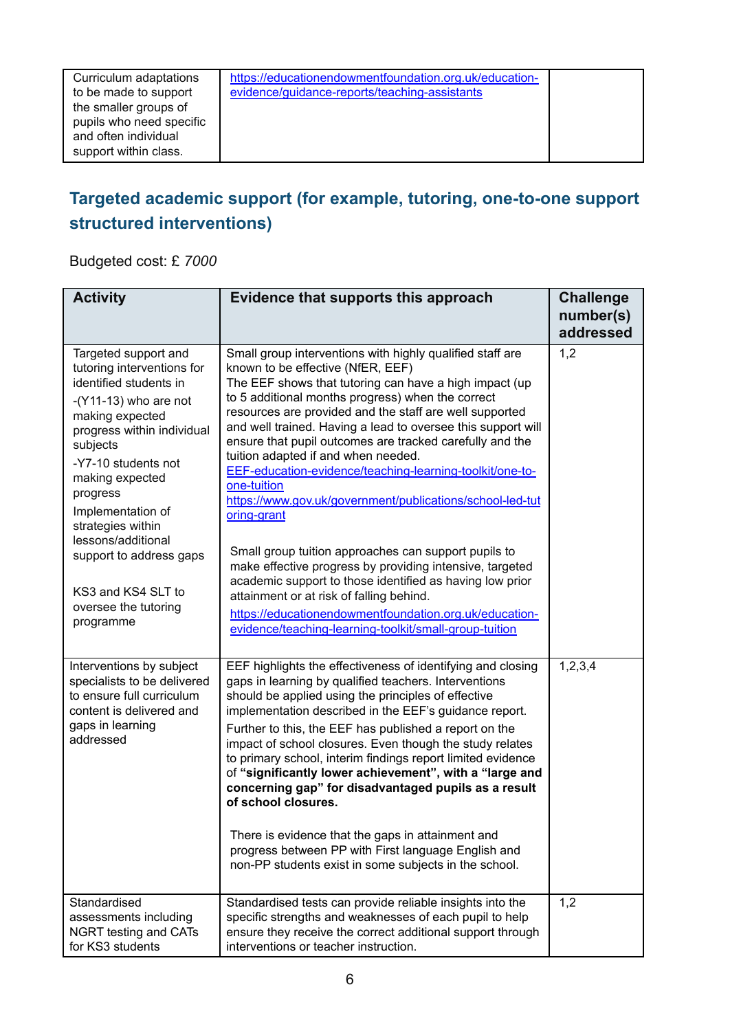Curriculum adaptations to be made to support the smaller groups of pupils who need specific and often individual support within class.

[https://educationendowmentfoundation.org.uk/education](https://educationendowmentfoundation.org.uk/education-evidence/guidance-reports/teaching-assistants)[evidence/guidance-reports/teaching-assistants](https://educationendowmentfoundation.org.uk/education-evidence/guidance-reports/teaching-assistants)

## **Targeted academic support (for example, tutoring, one-to-one support structured interventions)**

Budgeted cost: £ *7000*

| <b>Activity</b>                                                                                                                                                                                                                                                                                                                                                                  | Evidence that supports this approach                                                                                                                                                                                                                                                                                                                                                                                                                                                                                                                                                                                                                                                                                                                                                                                                                                                                                                               | <b>Challenge</b><br>number(s)<br>addressed |
|----------------------------------------------------------------------------------------------------------------------------------------------------------------------------------------------------------------------------------------------------------------------------------------------------------------------------------------------------------------------------------|----------------------------------------------------------------------------------------------------------------------------------------------------------------------------------------------------------------------------------------------------------------------------------------------------------------------------------------------------------------------------------------------------------------------------------------------------------------------------------------------------------------------------------------------------------------------------------------------------------------------------------------------------------------------------------------------------------------------------------------------------------------------------------------------------------------------------------------------------------------------------------------------------------------------------------------------------|--------------------------------------------|
| Targeted support and<br>tutoring interventions for<br>identified students in<br>$-(Y11-13)$ who are not<br>making expected<br>progress within individual<br>subjects<br>-Y7-10 students not<br>making expected<br>progress<br>Implementation of<br>strategies within<br>lessons/additional<br>support to address gaps<br>KS3 and KS4 SLT to<br>oversee the tutoring<br>programme | Small group interventions with highly qualified staff are<br>known to be effective (NfER, EEF)<br>The EEF shows that tutoring can have a high impact (up<br>to 5 additional months progress) when the correct<br>resources are provided and the staff are well supported<br>and well trained. Having a lead to oversee this support will<br>ensure that pupil outcomes are tracked carefully and the<br>tuition adapted if and when needed.<br>EEF-education-evidence/teaching-learning-toolkit/one-to-<br>one-tuition<br>https://www.gov.uk/government/publications/school-led-tut<br>oring-grant<br>Small group tuition approaches can support pupils to<br>make effective progress by providing intensive, targeted<br>academic support to those identified as having low prior<br>attainment or at risk of falling behind.<br>https://educationendowmentfoundation.org.uk/education-<br>evidence/teaching-learning-toolkit/small-group-tuition | 1,2                                        |
| Interventions by subject<br>specialists to be delivered<br>to ensure full curriculum<br>content is delivered and<br>gaps in learning<br>addressed                                                                                                                                                                                                                                | EEF highlights the effectiveness of identifying and closing<br>gaps in learning by qualified teachers. Interventions<br>should be applied using the principles of effective<br>implementation described in the EEF's guidance report.<br>Further to this, the EEF has published a report on the<br>impact of school closures. Even though the study relates<br>to primary school, interim findings report limited evidence<br>of "significantly lower achievement", with a "large and<br>concerning gap" for disadvantaged pupils as a result<br>of school closures.<br>There is evidence that the gaps in attainment and<br>progress between PP with First language English and<br>non-PP students exist in some subjects in the school.                                                                                                                                                                                                          | 1, 2, 3, 4                                 |
| Standardised<br>assessments including<br>NGRT testing and CATs<br>for KS3 students                                                                                                                                                                                                                                                                                               | Standardised tests can provide reliable insights into the<br>specific strengths and weaknesses of each pupil to help<br>ensure they receive the correct additional support through<br>interventions or teacher instruction.                                                                                                                                                                                                                                                                                                                                                                                                                                                                                                                                                                                                                                                                                                                        | 1,2                                        |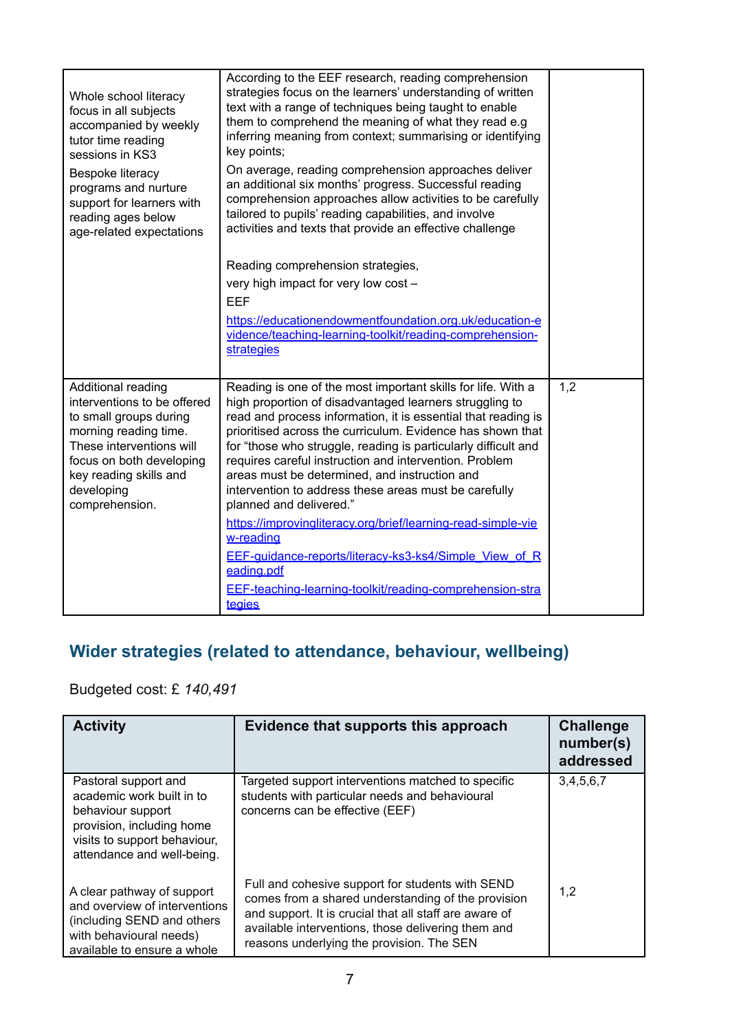| Whole school literacy<br>focus in all subjects<br>accompanied by weekly<br>tutor time reading<br>sessions in KS3<br>Bespoke literacy<br>programs and nurture<br>support for learners with<br>reading ages below<br>age-related expectations | According to the EEF research, reading comprehension<br>strategies focus on the learners' understanding of written<br>text with a range of techniques being taught to enable<br>them to comprehend the meaning of what they read e.g<br>inferring meaning from context; summarising or identifying<br>key points;<br>On average, reading comprehension approaches deliver<br>an additional six months' progress. Successful reading<br>comprehension approaches allow activities to be carefully<br>tailored to pupils' reading capabilities, and involve<br>activities and texts that provide an effective challenge<br>Reading comprehension strategies,<br>very high impact for very low cost -<br><b>EEF</b><br>https://educationendowmentfoundation.org.uk/education-e<br>vidence/teaching-learning-toolkit/reading-comprehension-<br>strategies |     |
|---------------------------------------------------------------------------------------------------------------------------------------------------------------------------------------------------------------------------------------------|-------------------------------------------------------------------------------------------------------------------------------------------------------------------------------------------------------------------------------------------------------------------------------------------------------------------------------------------------------------------------------------------------------------------------------------------------------------------------------------------------------------------------------------------------------------------------------------------------------------------------------------------------------------------------------------------------------------------------------------------------------------------------------------------------------------------------------------------------------|-----|
| Additional reading<br>interventions to be offered<br>to small groups during<br>morning reading time.<br>These interventions will<br>focus on both developing<br>key reading skills and<br>developing<br>comprehension.                      | Reading is one of the most important skills for life. With a<br>high proportion of disadvantaged learners struggling to<br>read and process information, it is essential that reading is<br>prioritised across the curriculum. Evidence has shown that<br>for "those who struggle, reading is particularly difficult and<br>requires careful instruction and intervention. Problem<br>areas must be determined, and instruction and<br>intervention to address these areas must be carefully<br>planned and delivered."<br>https://improvingliteracy.org/brief/learning-read-simple-vie<br>w-reading<br>EEF-quidance-reports/literacy-ks3-ks4/Simple View of R<br>eading.pdf<br>EEF-teaching-learning-toolkit/reading-comprehension-stra<br>tegies                                                                                                    | 1,2 |

## **Wider strategies (related to attendance, behaviour, wellbeing)**

Budgeted cost: £ *140,491*

| <b>Activity</b>                                                                                                                                                   | Evidence that supports this approach                                                                                                                                                                                                                                | <b>Challenge</b><br>number(s)<br>addressed |
|-------------------------------------------------------------------------------------------------------------------------------------------------------------------|---------------------------------------------------------------------------------------------------------------------------------------------------------------------------------------------------------------------------------------------------------------------|--------------------------------------------|
| Pastoral support and<br>academic work built in to<br>behaviour support<br>provision, including home<br>visits to support behaviour,<br>attendance and well-being. | Targeted support interventions matched to specific<br>students with particular needs and behavioural<br>concerns can be effective (EEF)                                                                                                                             | 3,4,5,6,7                                  |
| A clear pathway of support<br>and overview of interventions<br>(including SEND and others)<br>with behavioural needs)<br>available to ensure a whole              | Full and cohesive support for students with SEND<br>comes from a shared understanding of the provision<br>and support. It is crucial that all staff are aware of<br>available interventions, those delivering them and<br>reasons underlying the provision. The SEN | 1,2                                        |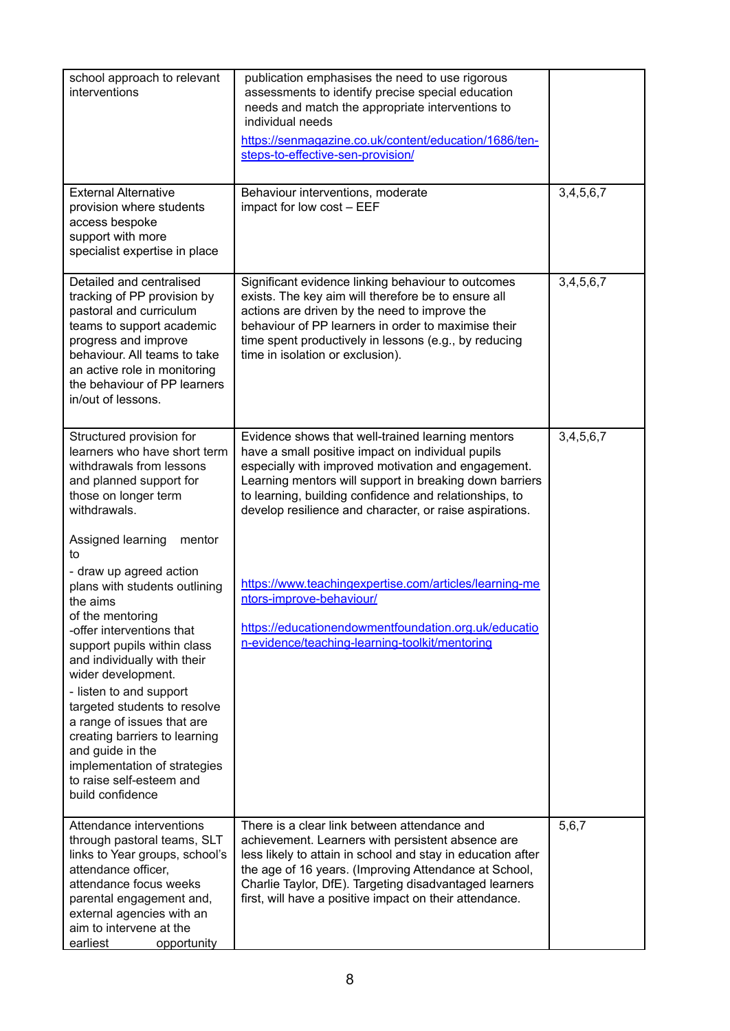| school approach to relevant<br>interventions                                                                                                                                                                                                                                                                                                                                                                                                                                 | publication emphasises the need to use rigorous<br>assessments to identify precise special education<br>needs and match the appropriate interventions to<br>individual needs<br>https://senmagazine.co.uk/content/education/1686/ten-<br>steps-to-effective-sen-provision/                                                                     |           |
|------------------------------------------------------------------------------------------------------------------------------------------------------------------------------------------------------------------------------------------------------------------------------------------------------------------------------------------------------------------------------------------------------------------------------------------------------------------------------|------------------------------------------------------------------------------------------------------------------------------------------------------------------------------------------------------------------------------------------------------------------------------------------------------------------------------------------------|-----------|
| <b>External Alternative</b><br>provision where students<br>access bespoke<br>support with more<br>specialist expertise in place                                                                                                                                                                                                                                                                                                                                              | Behaviour interventions, moderate<br>impact for low cost - EEF                                                                                                                                                                                                                                                                                 | 3,4,5,6,7 |
| Detailed and centralised<br>tracking of PP provision by<br>pastoral and curriculum<br>teams to support academic<br>progress and improve<br>behaviour. All teams to take<br>an active role in monitoring<br>the behaviour of PP learners<br>in/out of lessons.                                                                                                                                                                                                                | Significant evidence linking behaviour to outcomes<br>exists. The key aim will therefore be to ensure all<br>actions are driven by the need to improve the<br>behaviour of PP learners in order to maximise their<br>time spent productively in lessons (e.g., by reducing<br>time in isolation or exclusion).                                 | 3,4,5,6,7 |
| Structured provision for<br>learners who have short term<br>withdrawals from lessons<br>and planned support for<br>those on longer term<br>withdrawals.                                                                                                                                                                                                                                                                                                                      | Evidence shows that well-trained learning mentors<br>have a small positive impact on individual pupils<br>especially with improved motivation and engagement.<br>Learning mentors will support in breaking down barriers<br>to learning, building confidence and relationships, to<br>develop resilience and character, or raise aspirations.  | 3,4,5,6,7 |
| Assigned learning<br>mentor<br>to<br>- draw up agreed action<br>plans with students outlining<br>the aims<br>of the mentoring<br>-offer interventions that<br>support pupils within class<br>and individually with their<br>wider development.<br>- listen to and support<br>targeted students to resolve<br>a range of issues that are<br>creating barriers to learning<br>and guide in the<br>implementation of strategies<br>to raise self-esteem and<br>build confidence | https://www.teachingexpertise.com/articles/learning-me<br>ntors-improve-behaviour/<br>https://educationendowmentfoundation.org.uk/educatio<br>n-evidence/teaching-learning-toolkit/mentoring                                                                                                                                                   |           |
| Attendance interventions<br>through pastoral teams, SLT<br>links to Year groups, school's<br>attendance officer,<br>attendance focus weeks<br>parental engagement and,<br>external agencies with an<br>aim to intervene at the<br>earliest<br>opportunity                                                                                                                                                                                                                    | There is a clear link between attendance and<br>achievement. Learners with persistent absence are<br>less likely to attain in school and stay in education after<br>the age of 16 years. (Improving Attendance at School,<br>Charlie Taylor, DfE). Targeting disadvantaged learners<br>first, will have a positive impact on their attendance. | 5,6,7     |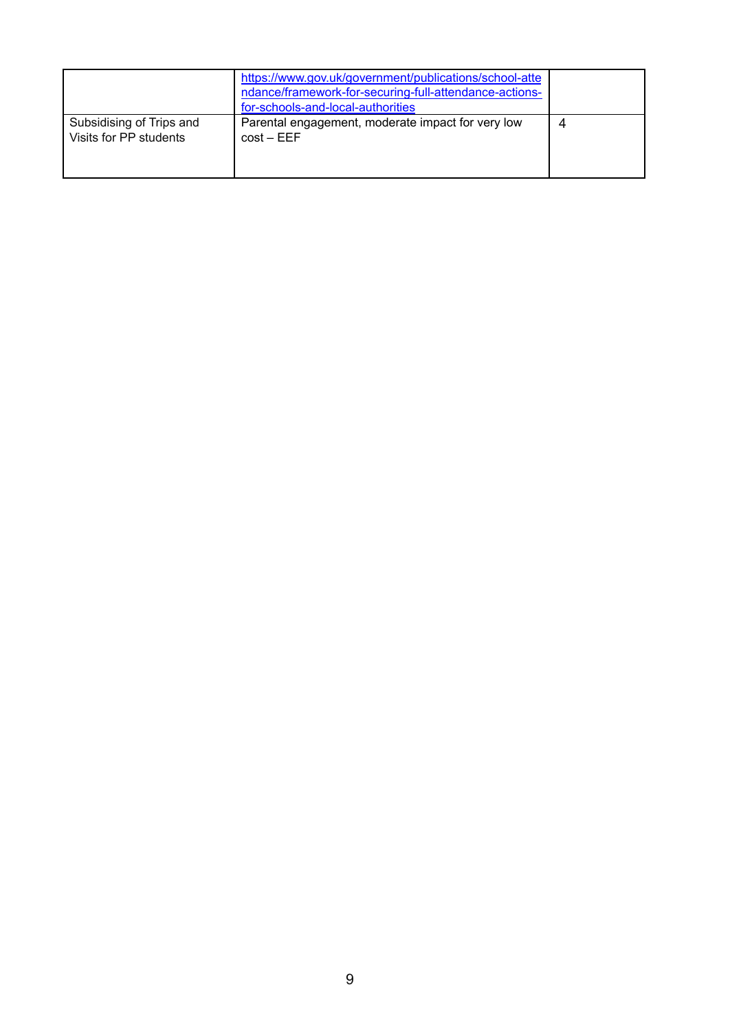|                                                    | https://www.gov.uk/government/publications/school-atte<br>ndance/framework-for-securing-full-attendance-actions-<br>for-schools-and-local-authorities |  |
|----------------------------------------------------|-------------------------------------------------------------------------------------------------------------------------------------------------------|--|
| Subsidising of Trips and<br>Visits for PP students | Parental engagement, moderate impact for very low<br>$cost - EEF$                                                                                     |  |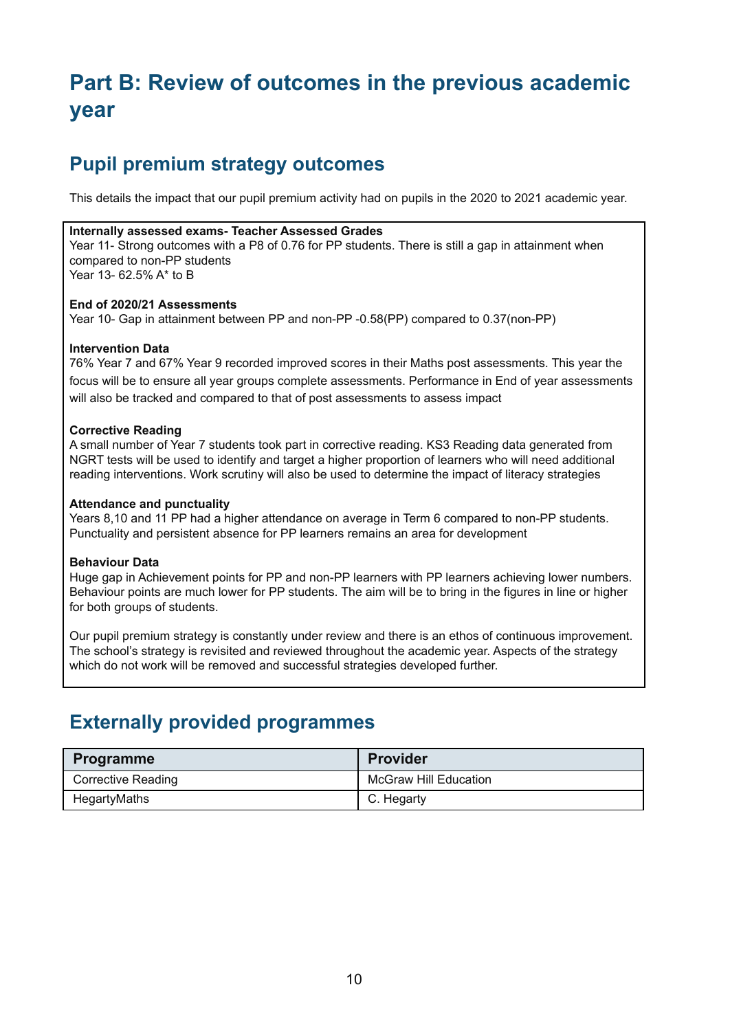## **Part B: Review of outcomes in the previous academic year**

## **Pupil premium strategy outcomes**

This details the impact that our pupil premium activity had on pupils in the 2020 to 2021 academic year.

#### **Internally assessed exams- Teacher Assessed Grades**

Year 11- Strong outcomes with a P8 of 0.76 for PP students. There is still a gap in attainment when compared to non-PP students Year 13- 62.5% A\* to B

#### **End of 2020/21 Assessments**

Year 10- Gap in attainment between PP and non-PP -0.58(PP) compared to 0.37(non-PP)

### **Intervention Data**

76% Year 7 and 67% Year 9 recorded improved scores in their Maths post assessments. This year the focus will be to ensure all year groups complete assessments. Performance in End of year assessments will also be tracked and compared to that of post assessments to assess impact

#### **Corrective Reading**

A small number of Year 7 students took part in corrective reading. KS3 Reading data generated from NGRT tests will be used to identify and target a higher proportion of learners who will need additional reading interventions. Work scrutiny will also be used to determine the impact of literacy strategies

### **Attendance and punctuality**

Years 8,10 and 11 PP had a higher attendance on average in Term 6 compared to non-PP students. Punctuality and persistent absence for PP learners remains an area for development

#### **Behaviour Data**

Huge gap in Achievement points for PP and non-PP learners with PP learners achieving lower numbers. Behaviour points are much lower for PP students. The aim will be to bring in the figures in line or higher for both groups of students.

Our pupil premium strategy is constantly under review and there is an ethos of continuous improvement. The school's strategy is revisited and reviewed throughout the academic year. Aspects of the strategy which do not work will be removed and successful strategies developed further.

## **Externally provided programmes**

| <b>Programme</b>          | <b>Provider</b>              |
|---------------------------|------------------------------|
| <b>Corrective Reading</b> | <b>McGraw Hill Education</b> |
| HegartyMaths              | C. Hegarty                   |